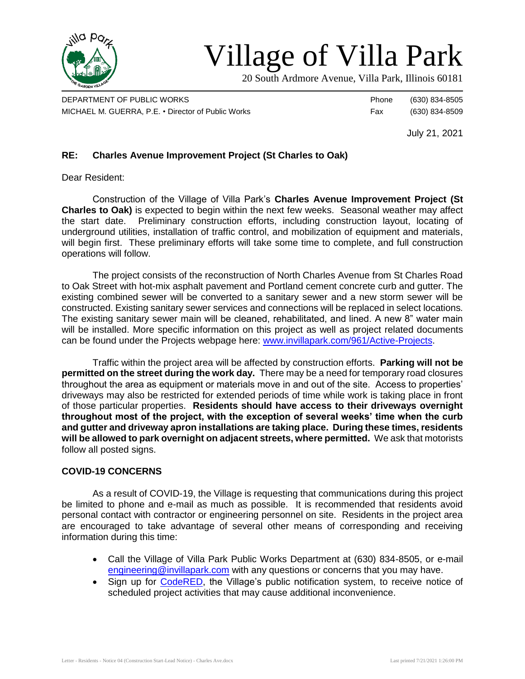

# Village of Villa Park

20 South Ardmore Avenue, Villa Park, Illinois 60181

DEPARTMENT OF PUBLIC WORKS **Phone** (630) 834-8505 MICHAEL M. GUERRA, P.E. • Director of Public Works Fax (630) 834-8509

July 21, 2021

## **RE: Charles Avenue Improvement Project (St Charles to Oak)**

Dear Resident:

Construction of the Village of Villa Park's **Charles Avenue Improvement Project (St Charles to Oak)** is expected to begin within the next few weeks. Seasonal weather may affect the start date. Preliminary construction efforts, including construction layout, locating of underground utilities, installation of traffic control, and mobilization of equipment and materials, will begin first. These preliminary efforts will take some time to complete, and full construction operations will follow.

The project consists of the reconstruction of North Charles Avenue from St Charles Road to Oak Street with hot-mix asphalt pavement and Portland cement concrete curb and gutter. The existing combined sewer will be converted to a sanitary sewer and a new storm sewer will be constructed. Existing sanitary sewer services and connections will be replaced in select locations. The existing sanitary sewer main will be cleaned, rehabilitated, and lined. A new 8" water main will be installed. More specific information on this project as well as project related documents can be found under the Projects webpage here: [www.invillapark.com/961/Active-Projects.](http://www.invillapark.com/961/Active-Projects)

Traffic within the project area will be affected by construction efforts. **Parking will not be permitted on the street during the work day.** There may be a need for temporary road closures throughout the area as equipment or materials move in and out of the site. Access to properties' driveways may also be restricted for extended periods of time while work is taking place in front of those particular properties. **Residents should have access to their driveways overnight throughout most of the project, with the exception of several weeks' time when the curb and gutter and driveway apron installations are taking place. During these times, residents will be allowed to park overnight on adjacent streets, where permitted.** We ask that motorists follow all posted signs.

#### **COVID-19 CONCERNS**

As a result of COVID-19, the Village is requesting that communications during this project be limited to phone and e-mail as much as possible. It is recommended that residents avoid personal contact with contractor or engineering personnel on site. Residents in the project area are encouraged to take advantage of several other means of corresponding and receiving information during this time:

- Call the Village of Villa Park Public Works Department at (630) 834-8505, or e-mail [engineering@invillapark.com](mailto:engineering@invillapark.com) with any questions or concerns that you may have.
- Sign up for [CodeRED,](http://www.invillapark.com/787/CodeRED) the Village's public notification system, to receive notice of scheduled project activities that may cause additional inconvenience.